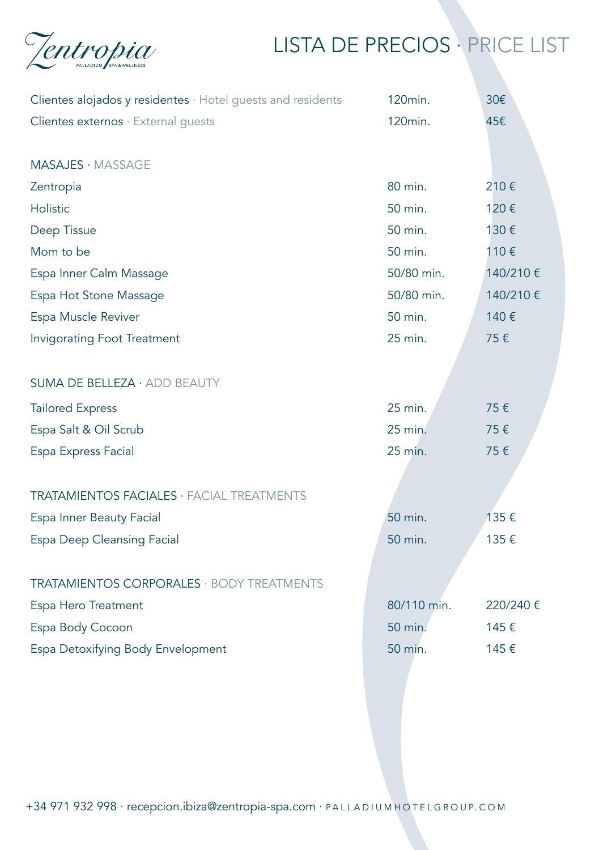

## LISTA DE PRECIOS · PRICE LIST

| Clientes alojados y residentes · Hotel guests and residents | 120 <sub>min.</sub> | 30€      |
|-------------------------------------------------------------|---------------------|----------|
| Clientes externos · External quests                         | 120 <sub>min.</sub> | 45€      |
|                                                             |                     |          |
| MASAJES · MASSAGE                                           |                     |          |
| Zentropia                                                   | 80 min.             | 210€     |
| Holistic                                                    | 50 min.             | 120€     |
| Deep Tissue                                                 | 50 min.             | 130€     |
| Mom to be                                                   | 50 min.             | 110€     |
| Espa Inner Calm Massage                                     | 50/80 min.          | 140/210€ |
| Espa Hot Stone Massage                                      | 50/80 min.          | 140/210€ |
| Espa Muscle Reviver                                         | 50 min.             | 140€     |
| <b>Invigorating Foot Treatment</b>                          | 25 min.             | 75€      |
|                                                             |                     |          |
| SUMA DE BELLEZA · ADD BEAUTY                                |                     |          |
| <b>Tailored Express</b>                                     | 25 min.             | 75€      |
| Espa Salt & Oil Scrub                                       | 25 min.             | 75€      |
| Espa Express Facial                                         | 25 min.             | 75€      |
|                                                             |                     |          |
| <b>TRATAMIENTOS FACIALES · FACIAL TREATMENTS</b>            |                     |          |
| Espa Inner Beauty Facial                                    | 50 min.             | 135€     |
| <b>Espa Deep Cleansing Facial</b>                           | 50 min.             | 135€     |
|                                                             |                     |          |
| <b>TRATAMIENTOS CORPORALES · BODY TREATMENTS</b>            |                     |          |
| Espa Hero Treatment                                         | 80/110 min.         | 220/240€ |
| Espa Body Cocoon                                            | 50 min.             | 145€     |
| Espa Detoxifying Body Envelopment                           | 50 min.             | 145€     |